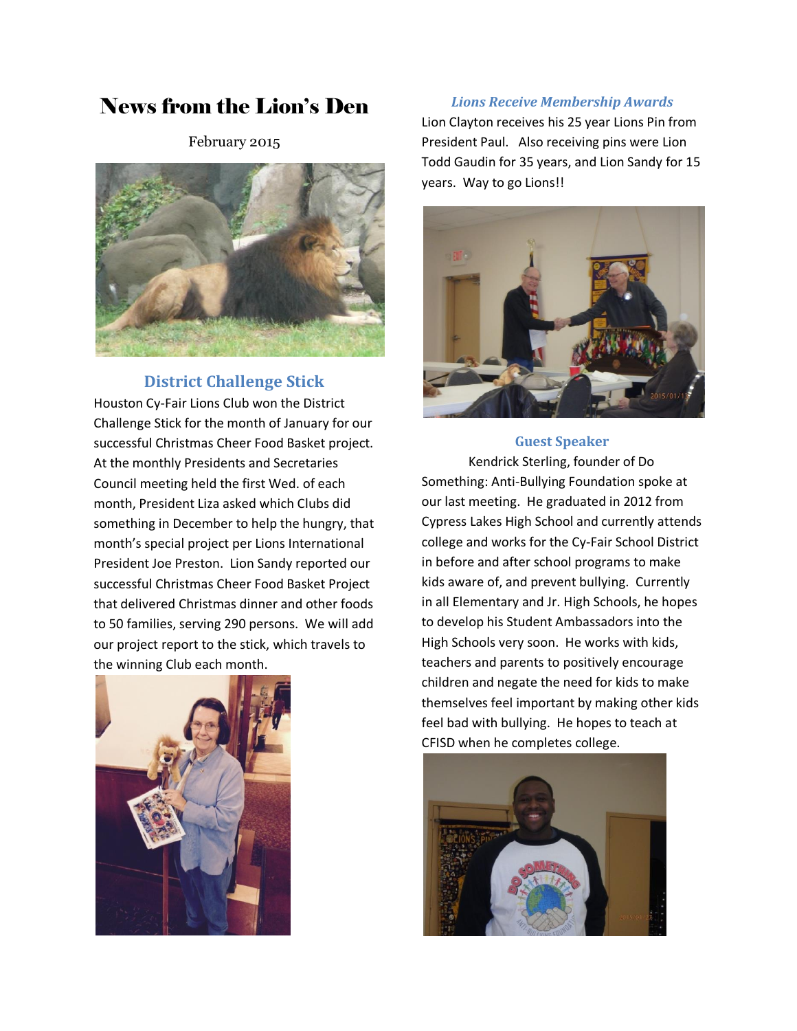# News from the Lion's Den

February 2015



# **District Challenge Stick**

Houston Cy-Fair Lions Club won the District Challenge Stick for the month of January for our successful Christmas Cheer Food Basket project. At the monthly Presidents and Secretaries Council meeting held the first Wed. of each month, President Liza asked which Clubs did something in December to help the hungry, that month's special project per Lions International President Joe Preston. Lion Sandy reported our successful Christmas Cheer Food Basket Project that delivered Christmas dinner and other foods to 50 families, serving 290 persons. We will add our project report to the stick, which travels to the winning Club each month.



#### *Lions Receive Membership Awards*

Lion Clayton receives his 25 year Lions Pin from President Paul. Also receiving pins were Lion Todd Gaudin for 35 years, and Lion Sandy for 15 years. Way to go Lions!!



#### **Guest Speaker**

Kendrick Sterling, founder of Do Something: Anti-Bullying Foundation spoke at our last meeting. He graduated in 2012 from Cypress Lakes High School and currently attends college and works for the Cy-Fair School District in before and after school programs to make kids aware of, and prevent bullying. Currently in all Elementary and Jr. High Schools, he hopes to develop his Student Ambassadors into the High Schools very soon. He works with kids, teachers and parents to positively encourage children and negate the need for kids to make themselves feel important by making other kids feel bad with bullying. He hopes to teach at CFISD when he completes college.

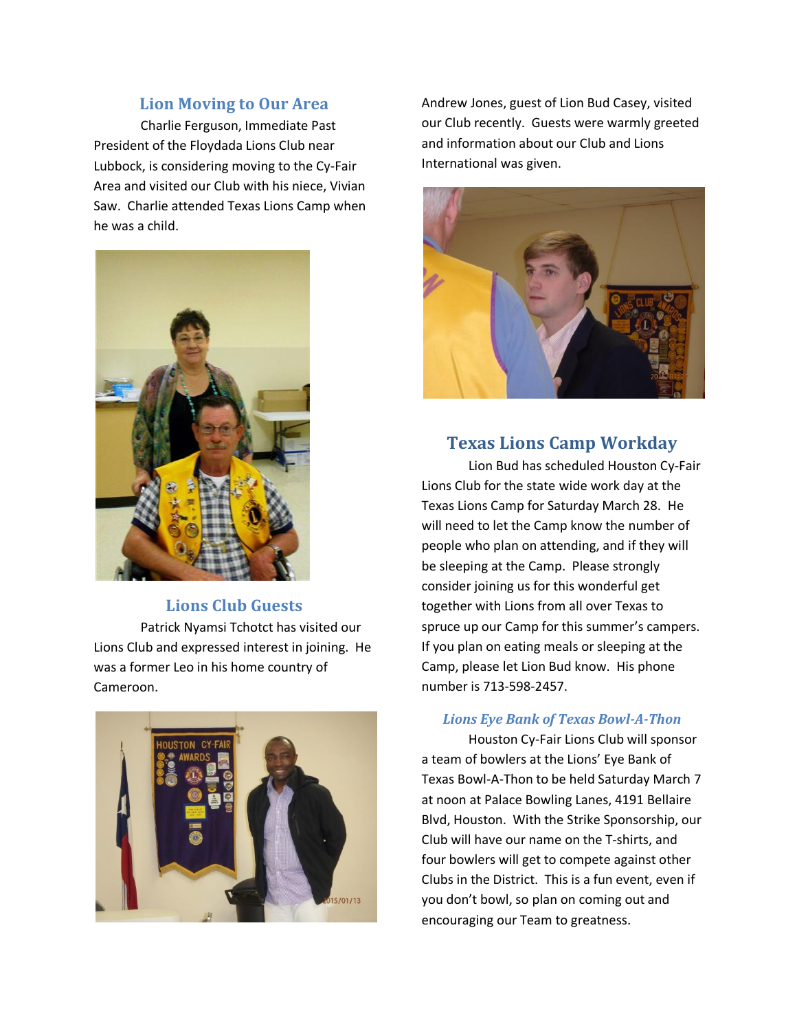## **Lion Moving to Our Area**

Charlie Ferguson, Immediate Past President of the Floydada Lions Club near Lubbock, is considering moving to the Cy-Fair Area and visited our Club with his niece, Vivian Saw. Charlie attended Texas Lions Camp when he was a child.



#### **Lions Club Guests**

Patrick Nyamsi Tchotct has visited our Lions Club and expressed interest in joining. He was a former Leo in his home country of Cameroon.



Andrew Jones, guest of Lion Bud Casey, visited our Club recently. Guests were warmly greeted and information about our Club and Lions International was given.



### **Texas Lions Camp Workday**

Lion Bud has scheduled Houston Cy-Fair Lions Club for the state wide work day at the Texas Lions Camp for Saturday March 28. He will need to let the Camp know the number of people who plan on attending, and if they will be sleeping at the Camp. Please strongly consider joining us for this wonderful get together with Lions from all over Texas to spruce up our Camp for this summer's campers. If you plan on eating meals or sleeping at the Camp, please let Lion Bud know. His phone number is 713-598-2457.

#### *Lions Eye Bank of Texas Bowl-A-Thon*

Houston Cy-Fair Lions Club will sponsor a team of bowlers at the Lions' Eye Bank of Texas Bowl-A-Thon to be held Saturday March 7 at noon at Palace Bowling Lanes, 4191 Bellaire Blvd, Houston. With the Strike Sponsorship, our Club will have our name on the T-shirts, and four bowlers will get to compete against other Clubs in the District. This is a fun event, even if you don't bowl, so plan on coming out and encouraging our Team to greatness.